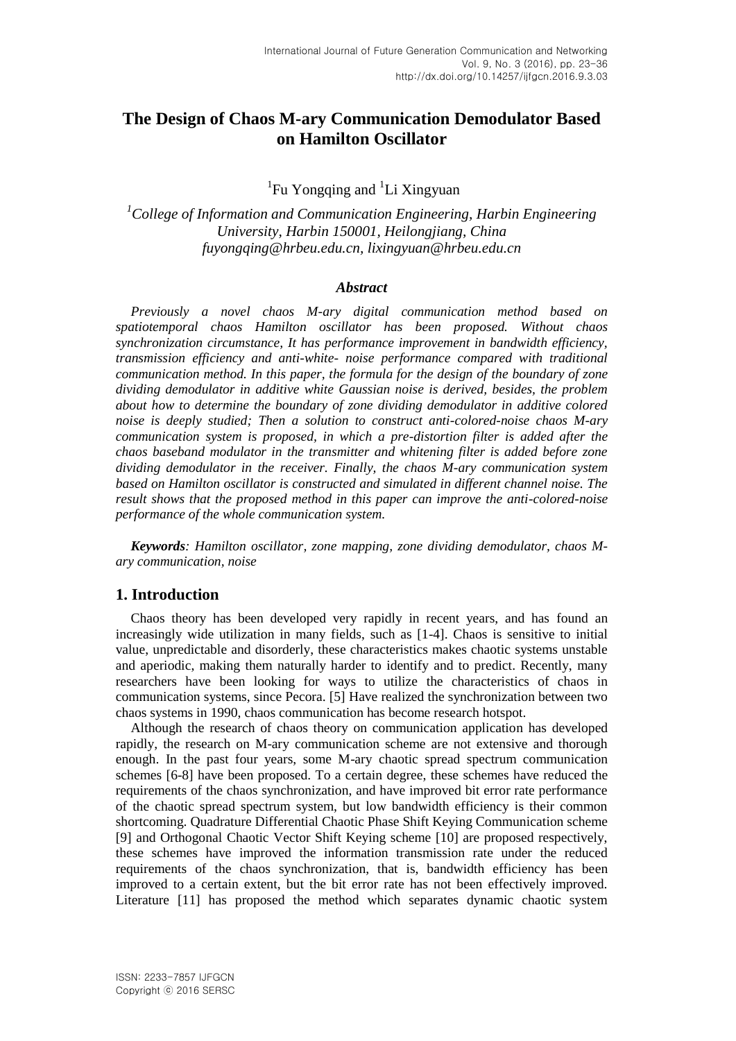# **The Design of Chaos M-ary Communication Demodulator Based on Hamilton Oscillator**

<sup>1</sup>Fu Yongqing and <sup>1</sup>Li Xingyuan

*<sup>1</sup>College of Information and Communication Engineering, Harbin Engineering University, Harbin 150001, Heilongjiang, China [fuyongqing@hrbeu.edu.cn,](mailto:fuyongqing@hrbeu.edu.cn) [lixingyuan@hrbeu.edu.cn](mailto:lixingyuan@hrbeu.edu.cn)*

#### *Abstract*

*Previously a novel chaos M-ary digital communication method based on spatiotemporal chaos Hamilton oscillator has been proposed. Without chaos synchronization circumstance, It has performance improvement in bandwidth efficiency, transmission efficiency and anti-white- noise performance compared with traditional communication method. In this paper, the formula for the design of the boundary of zone dividing demodulator in additive white Gaussian noise is derived, besides, the problem about how to determine the boundary of zone dividing demodulator in additive colored noise is deeply studied; Then a solution to construct anti-colored-noise chaos M-ary communication system is proposed, in which a pre-distortion filter is added after the chaos baseband modulator in the transmitter and whitening filter is added before zone dividing demodulator in the receiver. Finally, the chaos M-ary communication system based on Hamilton oscillator is constructed and simulated in different channel noise. The result shows that the proposed method in this paper can improve the anti-colored-noise performance of the whole communication system.*

*Keywords: Hamilton oscillator, zone mapping, zone dividing demodulator, chaos Mary communication, noise*

# **1. Introduction**

Chaos theory has been developed very rapidly in recent years, and has found an increasingly wide utilization in many fields, such as [1-4]. Chaos is sensitive to initial value, unpredictable and disorderly, these characteristics makes chaotic systems unstable and aperiodic, making them naturally harder to identify and to predict. Recently, many researchers have been looking for ways to utilize the characteristics of chaos in communication systems, since Pecora. [5] Have realized the synchronization between two chaos systems in 1990, chaos communication has become research hotspot.

Although the research of chaos theory on communication application has developed rapidly, the research on M-ary communication scheme are not extensive and thorough enough. In the past four years, some M-ary chaotic spread spectrum communication schemes [6-8] have been proposed. To a certain degree, these schemes have reduced the requirements of the chaos synchronization, and have improved bit error rate performance of the chaotic spread spectrum system, but low bandwidth efficiency is their common shortcoming. Quadrature Differential Chaotic Phase Shift Keying Communication scheme [9] and Orthogonal Chaotic Vector Shift Keying scheme [10] are proposed respectively, these schemes have improved the information transmission rate under the reduced requirements of the chaos synchronization, that is, bandwidth efficiency has been improved to a certain extent, but the bit error rate has not been effectively improved. Literature [11] has proposed the method which separates dynamic chaotic system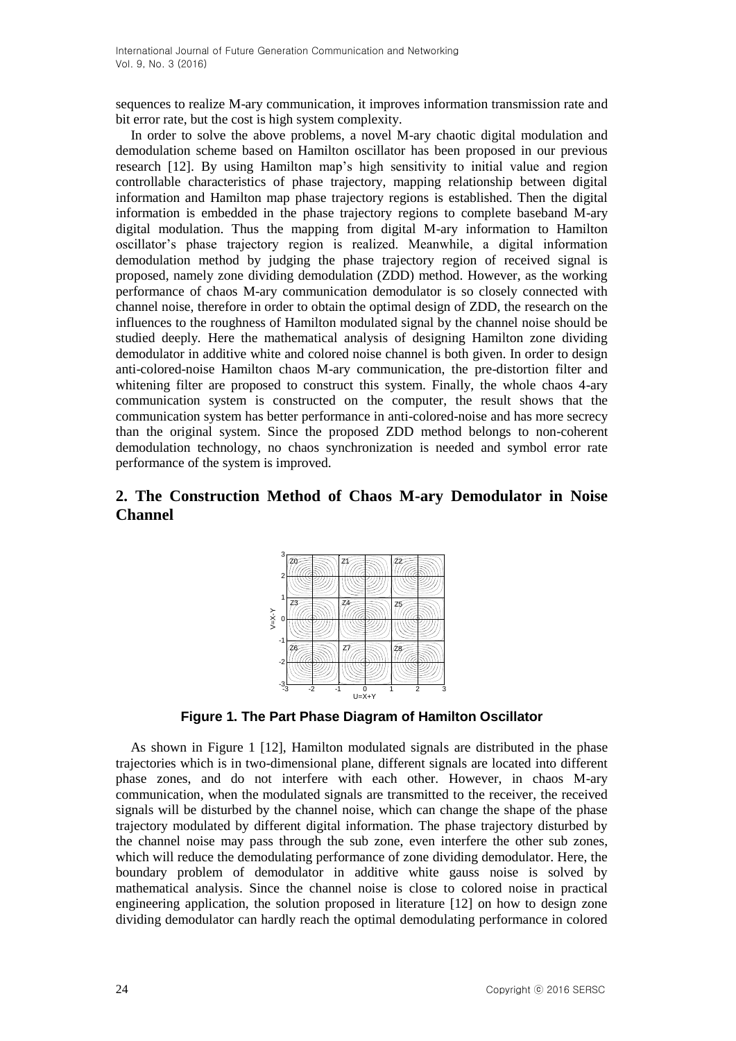sequences to realize M-ary communication, it improves information transmission rate and bit error rate, but the cost is high system complexity.

In order to solve the above problems, a novel M-ary chaotic digital modulation and demodulation scheme based on Hamilton oscillator has been proposed in our previous research [12]. By using Hamilton map's high sensitivity to initial value and region controllable characteristics of phase trajectory, mapping relationship between digital information and Hamilton map phase trajectory regions is established. Then the digital information is embedded in the phase trajectory regions to complete baseband M-ary digital modulation. Thus the mapping from digital M-ary information to Hamilton oscillator's phase trajectory region is realized. Meanwhile, a digital information demodulation method by judging the phase trajectory region of received signal is proposed, namely zone dividing demodulation (ZDD) method. However, as the working performance of chaos M-ary communication demodulator is so closely connected with channel noise, therefore in order to obtain the optimal design of ZDD, the research on the influences to the roughness of Hamilton modulated signal by the channel noise should be studied deeply*.* Here the mathematical analysis of designing Hamilton zone dividing demodulator in additive white and colored noise channel is both given. In order to design anti-colored-noise Hamilton chaos M-ary communication, the pre-distortion filter and whitening filter are proposed to construct this system. Finally, the whole chaos 4-ary communication system is constructed on the computer, the result shows that the communication system has better performance in anti-colored-noise and has more secrecy than the original system. Since the proposed ZDD method belongs to non-coherent demodulation technology, no chaos synchronization is needed and symbol error rate performance of the system is improved.

# **2. The Construction Method of Chaos M-ary Demodulator in Noise Channel**



**Figure 1. The Part Phase Diagram of Hamilton Oscillator**

As shown in Figure 1 [12], Hamilton modulated signals are distributed in the phase trajectories which is in two-dimensional plane, different signals are located into different phase zones, and do not interfere with each other. However, in chaos M-ary communication, when the modulated signals are transmitted to the receiver, the received signals will be disturbed by the channel noise, which can change the shape of the phase trajectory modulated by different digital information. The phase trajectory disturbed by the channel noise may pass through the sub zone, even interfere the other sub zones, which will reduce the demodulating performance of zone dividing demodulator. Here, the boundary problem of demodulator in additive white gauss noise is solved by mathematical analysis. Since the channel noise is close to colored noise in practical engineering application, the solution proposed in literature [12] on how to design zone dividing demodulator can hardly reach the optimal demodulating performance in colored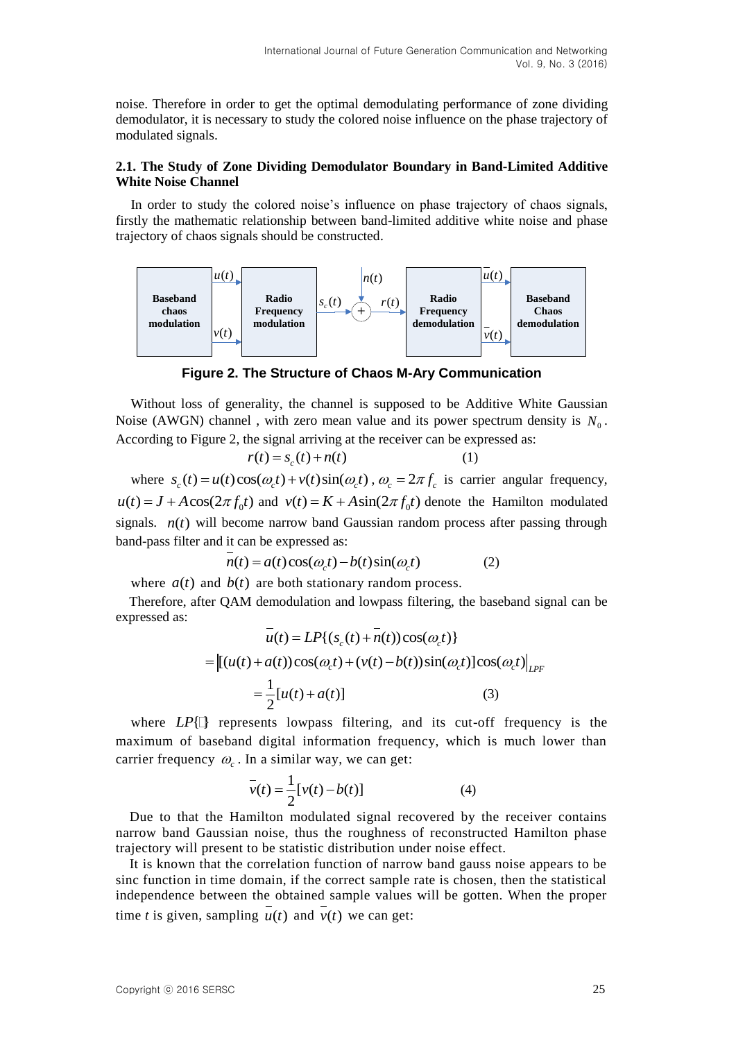noise. Therefore in order to get the optimal demodulating performance of zone dividing demodulator, it is necessary to study the colored noise influence on the phase trajectory of modulated signals.

### **2.1. The Study of Zone Dividing Demodulator Boundary in Band-Limited Additive White Noise Channel**

In order to study the colored noise's influence on phase trajectory of chaos signals, firstly the mathematic relationship between band-limited additive white noise and phase trajectory of chaos signals should be constructed.



**Figure 2. The Structure of Chaos M-Ary Communication**

Without loss of generality, the channel is supposed to be Additive White Gaussian Noise (AWGN) channel, with zero mean value and its power spectrum density is  $N_0$ . According to Figure 2, the signal arriving at the receiver can be expressed as:

$$
r(t) = s_c(t) + n(t)
$$
 (1)

 $r(t) = s_c(t) + n(t)$  (1)<br>where  $s_c(t) = u(t)\cos(\omega_c t) + v(t)\sin(\omega_c t)$ ,  $\omega_c = 2\pi f_c$  is carrier angular frequency,  $u(t) = J + A\cos(2\pi f_0 t)$  and  $v(t) = K + A\sin(2\pi f_0 t)$  denote the Hamilton modulated signals.  $n(t)$  will become narrow band Gaussian random process after passing through band-pass filter and it can be expressed as:<br> $\frac{1}{n(t)} = a(t) \cos(\omega_c t) - b(t) \sin(\omega_c t)$  (2)

$$
n(t) = a(t)\cos(\omega_c t) - b(t)\sin(\omega_c t)
$$
 (2)

where  $a(t)$  and  $b(t)$  are both stationary random process.

Therefore, after QAM demodulation and lowpass filtering, the baseband signal can be expressed as:

$$
\bar{u}(t) = LP\{(s_c(t) + \bar{n}(t))\cos(\omega_c t)\}\
$$
  
=  $[(u(t) + a(t))\cos(\omega_c t) + (v(t) - b(t))\sin(\omega_c t)]\cos(\omega_c t)\big|_{LPF}$   
=  $\frac{1}{2}[u(t) + a(t)]$  (3)

where  $LP[$  represents lowpass filtering, and its cut-off frequency is the maximum of baseband digital information frequency, which is much lower than carrier frequency  $\omega_c$ . In a similar way, we can get:

$$
\bar{v}(t) = \frac{1}{2} [v(t) - b(t)] \tag{4}
$$

Due to that the Hamilton modulated signal recovered by the receiver contains narrow band Gaussian noise, thus the roughness of reconstructed Hamilton phase trajectory will present to be statistic distribution under noise effect.

It is known that the correlation function of narrow band gauss noise appears to be sinc function in time domain, if the correct sample rate is chosen, then the statistical independence between the obtained sample values will be gotten. When the proper time *t* is given, sampling  $u(t)$  and  $v(t)$  we can get: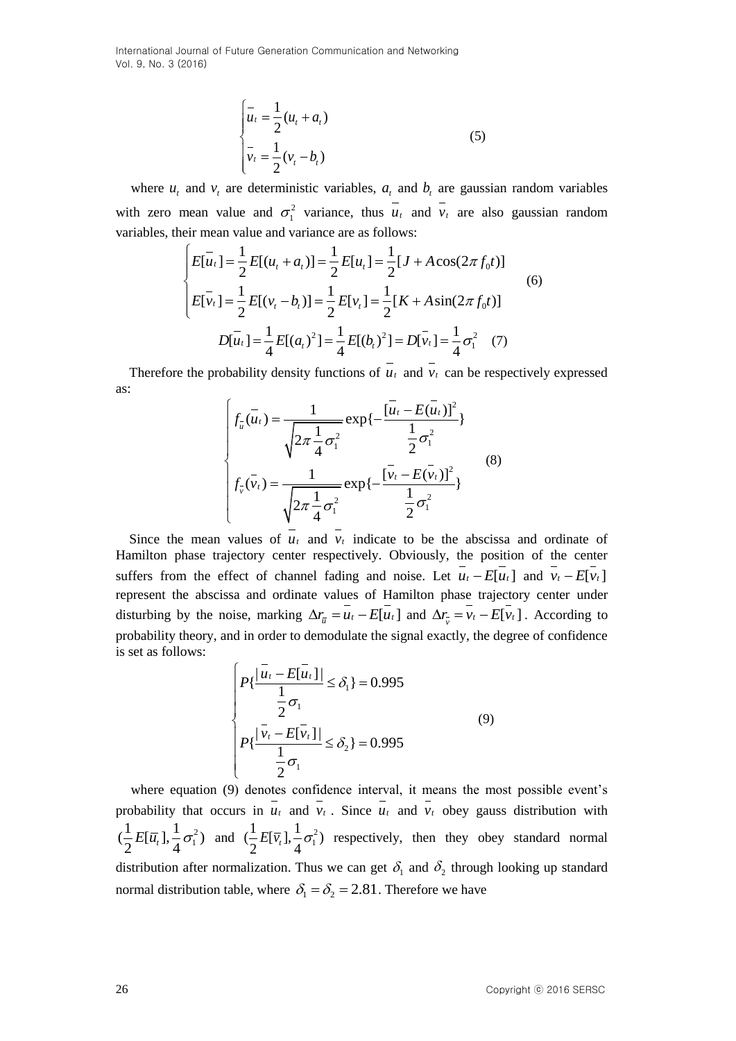$$
\begin{cases} \n\overline{u}_t = \frac{1}{2} (u_t + a_t) \\ \n\overline{v}_t = \frac{1}{2} (v_t - b_t) \n\end{cases}
$$
\n(5)

where  $u_t$  and  $v_t$  are deterministic variables,  $a_t$  and  $b_t$  are gaussian random variables with zero mean value and  $\sigma_1^2$  variance, thus  $u_t$  and  $v_t$  are also gaussian random variables, their mean value and variance are as follows:<br>  $\left[ E[u_t] = \frac{1}{2} E[(u_t + a_t)] = \frac{1}{2} E[u_t] = \frac{1}{2} [J + A \cos(2\pi f_0 t)]$ 

variables, their mean value and variance are as follows:  
\n
$$
\begin{cases}\nE[u_t] = \frac{1}{2} E[(u_t + a_t)] = \frac{1}{2} E[u_t] = \frac{1}{2} [J + A \cos(2\pi f_0 t)] \\
E[\bar{v}_t] = \frac{1}{2} E[(v_t - b_t)] = \frac{1}{2} E[v_t] = \frac{1}{2} [K + A \sin(2\pi f_0 t)] \\
D[\bar{u}_t] = \frac{1}{4} E[(a_t)^2] = \frac{1}{4} E[(b_t)^2] = D[\bar{v}_t] = \frac{1}{4} \sigma_1^2\n\end{cases}
$$
\n(6)

Therefore the probability density functions of  $u_t$  and  $v_t$  can be respectively expressed as:

$$
\int_{\bar{u}} \overline{(\bar{u}_t)} = \frac{1}{\sqrt{2\pi \frac{1}{4} \sigma_1^2}} \exp\{-\frac{[\bar{u}_t - E(\bar{u}_t)]^2}{\frac{1}{2} \sigma_1^2}\}
$$
\n
$$
f_{\bar{v}}(\bar{v}_t) = \frac{1}{\sqrt{2\pi \frac{1}{4} \sigma_1^2}} \exp\{-\frac{[\bar{v}_t - E(\bar{v}_t)]^2}{\frac{1}{2} \sigma_1^2}\}
$$
\n(8)

Since the mean values of  $u_t$  and  $v_t$  indicate to be the abscissa and ordinate of Hamilton phase trajectory center respectively. Obviously, the position of the center suffers from the effect of channel fading and noise. Let  $u_t - E[u_t]$  and  $v_t - E[v_t]$ represent the abscissa and ordinate values of Hamilton phase trajectory center under disturbing by the noise, marking  $\Delta r_{\bar{u}} = u_t - E[u_t]$  and  $\Delta r_{\bar{v}} = v_t - E[v_t]$ . According to probability theory, and in order to demodulate the signal exactly, the degree of confidence is set as follows:

$$
\begin{cases}\nP\{\frac{|\overline{u}_t - E[\overline{u}_t]|}{\frac{1}{2}\sigma_1} \le \delta_1\} = 0.995 \\
P\{\frac{|\overline{v}_t - E[\overline{v}_t]|}{\frac{1}{2}\sigma_1} \le \delta_2\} = 0.995\n\end{cases}
$$
\n(9)

where equation (9) denotes confidence interval, it means the most possible event's probability that occurs in  $u_t$  and  $v_t$ . Since  $u_t$  and  $v_t$  obey gauss distribution with 2  $\left(\frac{1}{2}E[\bar{u}_t], \frac{1}{4}\sigma_1^2\right)$  $\frac{1}{2}E[\bar{u}_t], \frac{1}{4}\sigma_1^2$  and  $(\frac{1}{2}E[\bar{v}_t], \frac{1}{4}\sigma_1^2)$  $\left(\frac{1}{2}E[\overline{v}_t], \frac{1}{4}\sigma_1^2\right)$  $\frac{1}{2}E[\overline{v}_t], \frac{1}{4}\sigma_1^2$  respectively, then they obey standard normal distribution after normalization. Thus we can get  $\delta_1$  and  $\delta_2$  through looking up standard normal distribution table, where  $\delta_1 = \delta_2 = 2.81$ . Therefore we have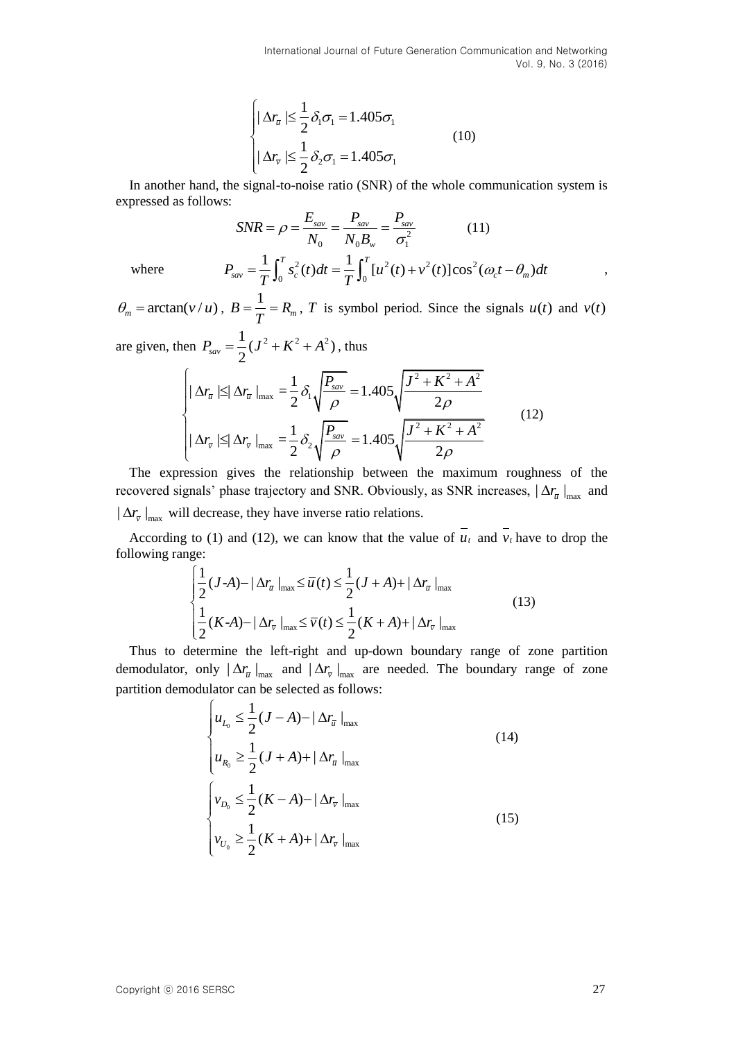$$
\begin{cases} |\Delta r_{\overline{u}}| \leq \frac{1}{2} \delta_1 \sigma_1 = 1.405 \sigma_1 \\ |\Delta r_{\overline{v}}| \leq \frac{1}{2} \delta_2 \sigma_1 = 1.405 \sigma_1 \end{cases}
$$
(10)

In another hand, the signal-to-noise ratio (SNR) of the whole communication system is expressed as follows:

s:  
\n
$$
SNR = \rho = \frac{E_{sav}}{N_0} = \frac{P_{sav}}{N_0 B_w} = \frac{P_{sav}}{\sigma_1^2}
$$
\n
$$
P_{sav} = \frac{1}{T} \int_0^T s_c^2(t)dt = \frac{1}{T} \int_0^T [u^2(t) + v^2(t)] \cos^2(\omega_c t - \theta_m)dt
$$

where

 $\theta_m = \arctan(v/u)$ ,  $B = \frac{1}{T} = R_m$  $=\frac{1}{n}=R_m$ , *T* is symbol period. Since the signals  $u(t)$  and  $v(t)$ 

are given, then  $P_{\text{sav}} = \frac{1}{2}(J^2 + K^2 + A^2)$  $P_{\textit{sav}} = \frac{1}{2}(J^2 + K^2 + A^2)$ , thus

$$
\begin{cases}\n\log P_{\text{sav}} = \frac{1}{2} (J^2 + K^2 + A^2), \text{ thus} \\
\log \left| \Delta r_{\bar{u}} \right| \leq |\Delta r_{\bar{u}}|_{\text{max}} = \frac{1}{2} \delta_1 \sqrt{\frac{P_{\text{sav}}}{\rho}} = 1.405 \sqrt{\frac{J^2 + K^2 + A^2}{2\rho}} \\
\log \left| \Delta r_{\bar{v}} \right| \leq |\Delta r_{\bar{v}}|_{\text{max}} = \frac{1}{2} \delta_2 \sqrt{\frac{P_{\text{sav}}}{\rho}} = 1.405 \sqrt{\frac{J^2 + K^2 + A^2}{2\rho}}\n\end{cases} (12)
$$

The expression gives the relationship between the maximum roughness of the recovered signals' phase trajectory and SNR. Obviously, as SNR increases,  $|\Delta r_{\overline{u}}|_{\text{max}}$  and  $|\Delta r_{\overline{v}}|_{\text{max}}$  will decrease, they have inverse ratio relations.

According to (1) and (12), we can know that the value of  $u_t$  and  $v_t$  have to drop the llowing range:<br>  $\left| \frac{1}{2} (J-A) - |\Delta r_{\overline{u}}|_{\text{max}} \le \overline{u}(t) \le \frac{1}{2} (J+A) + |\Delta r_{\overline{u}}|_{\text{max}} \right|$ following range:

ge:  
\n
$$
\begin{cases}\n\frac{1}{2}(J-A) - |\Delta r_{\bar{u}}|_{\max} \le \bar{u}(t) \le \frac{1}{2}(J+A) + |\Delta r_{\bar{u}}|_{\max} \\
\frac{1}{2}(K-A) - |\Delta r_{\bar{v}}|_{\max} \le \bar{v}(t) \le \frac{1}{2}(K+A) + |\Delta r_{\bar{v}}|_{\max}\n\end{cases}
$$
\n(13)

Thus to determine the left-right and up-down boundary range of zone partition demodulator, only  $|\Delta r_{\bar{i}}|_{\text{max}}$  and  $|\Delta r_{\bar{i}}|_{\text{max}}$  are needed. The boundary range of zone partition demodulator can be selected as follows:

$$
\begin{cases}\n u_{L_0} \leq \frac{1}{2} (J - A) - |\Delta r_{\overline{u}}|_{\text{max}} \\
 u_{R_0} \geq \frac{1}{2} (J + A) + |\Delta r_{\overline{u}}|_{\text{max}}\n\end{cases}
$$
\n(14)\n
$$
\begin{cases}\n v_{D_0} \leq \frac{1}{2} (K - A) - |\Delta r_{\overline{v}}|_{\text{max}} \\
 v_{U_0} \geq \frac{1}{2} (K + A) + |\Delta r_{\overline{v}}|_{\text{max}}\n\end{cases}
$$
\n(15)

,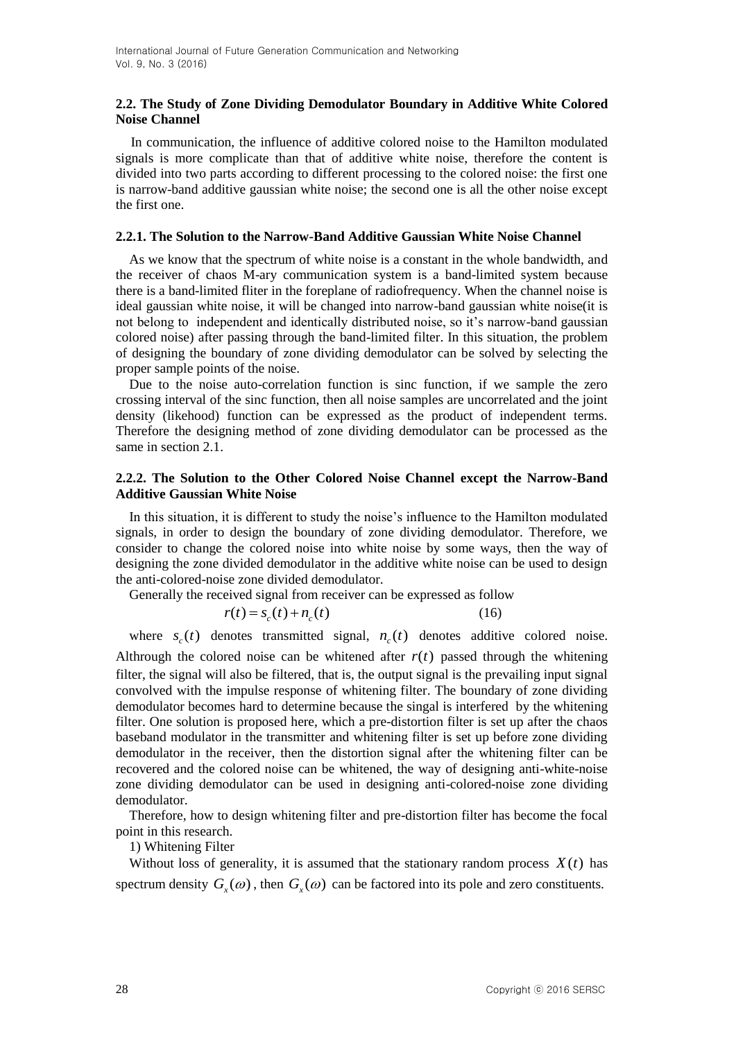# **2.2. The Study of Zone Dividing Demodulator Boundary in Additive White Colored Noise Channel**

In communication, the influence of additive colored noise to the Hamilton modulated signals is more complicate than that of additive white noise, therefore the content is divided into two parts according to different processing to the colored noise: the first one is narrow-band additive gaussian white noise; the second one is all the other noise except the first one.

## **2.2.1. The Solution to the Narrow-Band Additive Gaussian White Noise Channel**

As we know that the spectrum of white noise is a constant in the whole bandwidth, and the receiver of chaos M-ary communication system is a band-limited system because there is a band-limited fliter in the foreplane of radiofrequency. When the channel noise is ideal gaussian white noise, it will be changed into narrow-band gaussian white noise(it is not belong to independent and identically distributed noise, so it's narrow-band gaussian colored noise) after passing through the band-limited filter. In this situation, the problem of designing the boundary of zone dividing demodulator can be solved by selecting the proper sample points of the noise.

Due to the noise auto-correlation function is sinc function, if we sample the zero crossing interval of the sinc function, then all noise samples are uncorrelated and the joint density (likehood) function can be expressed as the product of independent terms. Therefore the designing method of zone dividing demodulator can be processed as the same in section 2.1.

## **2.2.2. The Solution to the Other Colored Noise Channel except the Narrow-Band Additive Gaussian White Noise**

In this situation, it is different to study the noise's influence to the Hamilton modulated signals, in order to design the boundary of zone dividing demodulator. Therefore, we consider to change the colored noise into white noise by some ways, then the way of designing the zone divided demodulator in the additive white noise can be used to design the anti-colored-noise zone divided demodulator.

Generally the received signal from receiver can be expressed as follow

$$
r(t) = s_c(t) + n_c(t)
$$
\n(16)

where  $s_c(t)$  denotes transmitted signal,  $n_c(t)$  denotes additive colored noise.

Althrough the colored noise can be whitened after  $r(t)$  passed through the whitening filter, the signal will also be filtered, that is, the output signal is the prevailing input signal convolved with the impulse response of whitening filter. The boundary of zone dividing demodulator becomes hard to determine because the singal is interfered by the whitening filter. One solution is proposed here, which a pre-distortion filter is set up after the chaos baseband modulator in the transmitter and whitening filter is set up before zone dividing demodulator in the receiver, then the distortion signal after the whitening filter can be recovered and the colored noise can be whitened, the way of designing anti-white-noise zone dividing demodulator can be used in designing anti-colored-noise zone dividing demodulator.

Therefore, how to design whitening filter and pre-distortion filter has become the focal point in this research.

1) Whitening Filter

Without loss of generality, it is assumed that the stationary random process  $X(t)$  has spectrum density  $G_x(\omega)$ , then  $G_x(\omega)$  can be factored into its pole and zero constituents.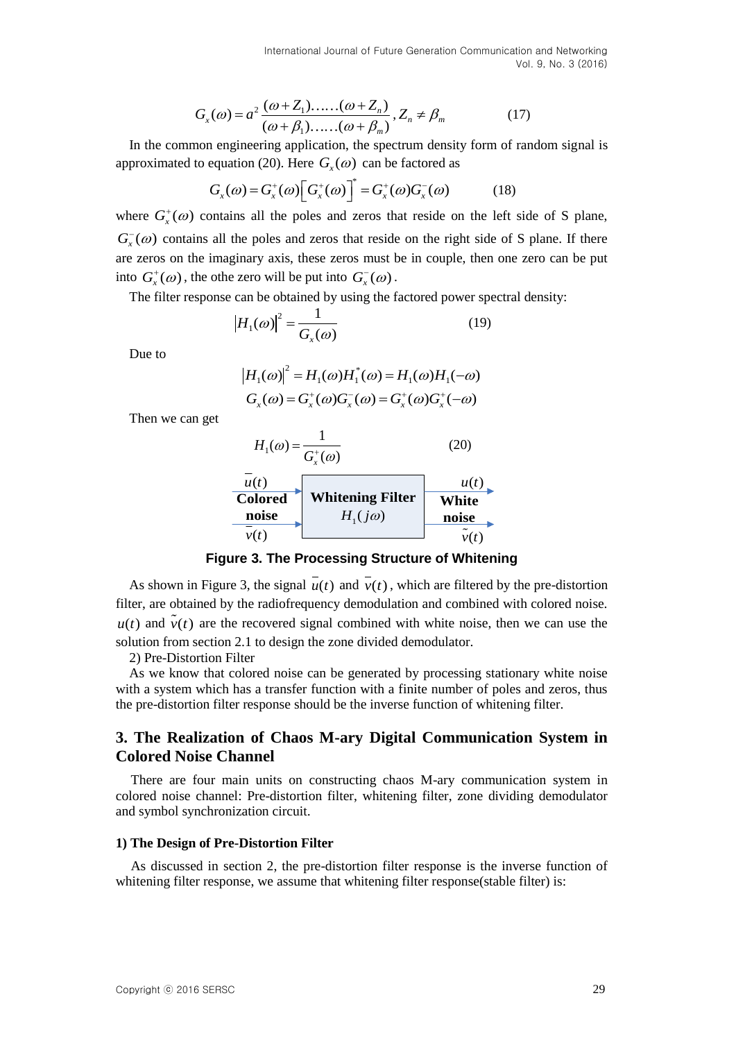$$
G_x(\omega) = a^2 \frac{(\omega + Z_1) \dots (\omega + Z_n)}{(\omega + \beta_1) \dots (\omega + \beta_m)}, Z_n \neq \beta_m
$$
 (17)

In the common engineering application, the spectrum density form of random signal is

approximated to equation (20). Here 
$$
G_x(\omega)
$$
 can be factored as  
\n
$$
G_x(\omega) = G_x^+(\omega) \Big[ G_x^+(\omega) \Big]^* = G_x^+(\omega) G_x^-(\omega) \qquad (18)
$$

 $G_1(\omega) = a^2 \frac{\sin \alpha \cos \alpha}{(\alpha - \beta_1), \dots, (\alpha - \beta_n)} Z_n \in \beta_n$  (17)<br>
In the common explanation ( $\frac{\sin \alpha}{\alpha}$ )  $Z_n \in \beta_n$ <br>
uproximated to equation (20), Here C<sub>i</sub>, (*io*) can be factored as<br>
uproximated to equation (20), Here C<sub>i</sub>, (*io* where  $G_x^{\dagger}(\omega)$  contains all the poles and zeros that reside on the left side of S plane,  $G<sub>x</sub><sup>-</sup>(\omega)$  contains all the poles and zeros that reside on the right side of S plane. If there are zeros on the imaginary axis, these zeros must be in couple, then one zero can be put into  $G_x^+(\omega)$ , the othe zero will be put into  $G_x^-(\omega)$ .

The filter response can be obtained by using the factored power spectral density:

$$
\left|H_1(\omega)\right|^2 = \frac{1}{G_x(\omega)}\tag{19}
$$

Due to

$$
|H_1(\omega)|^2 = H_1(\omega)H_1^*(\omega) = H_1(\omega)H_1(-\omega)
$$
  
\n
$$
G_x(\omega) = G_x^+(\omega)G_x^-(\omega) = G_x^+(\omega)G_x^*(-\omega)
$$

Then we can get



**Figure 3. The Processing Structure of Whitening**

As shown in Figure 3, the signal  $u(t)$  and  $v(t)$ , which are filtered by the pre-distortion filter, are obtained by the radiofrequency demodulation and combined with colored noise.  $u(t)$  and  $v(t)$  are the recovered signal combined with white noise, then we can use the solution from section 2.1 to design the zone divided demodulator.

2) Pre-Distortion Filter

As we know that colored noise can be generated by processing stationary white noise with a system which has a transfer function with a finite number of poles and zeros, thus the pre-distortion filter response should be the inverse function of whitening filter.

# **3. The Realization of Chaos M-ary Digital Communication System in Colored Noise Channel**

There are four main units on constructing chaos M-ary communication system in colored noise channel: Pre-distortion filter, whitening filter, zone dividing demodulator and symbol synchronization circuit.

#### **1) The Design of Pre-Distortion Filter**

As discussed in section 2, the pre-distortion filter response is the inverse function of whitening filter response, we assume that whitening filter response(stable filter) is: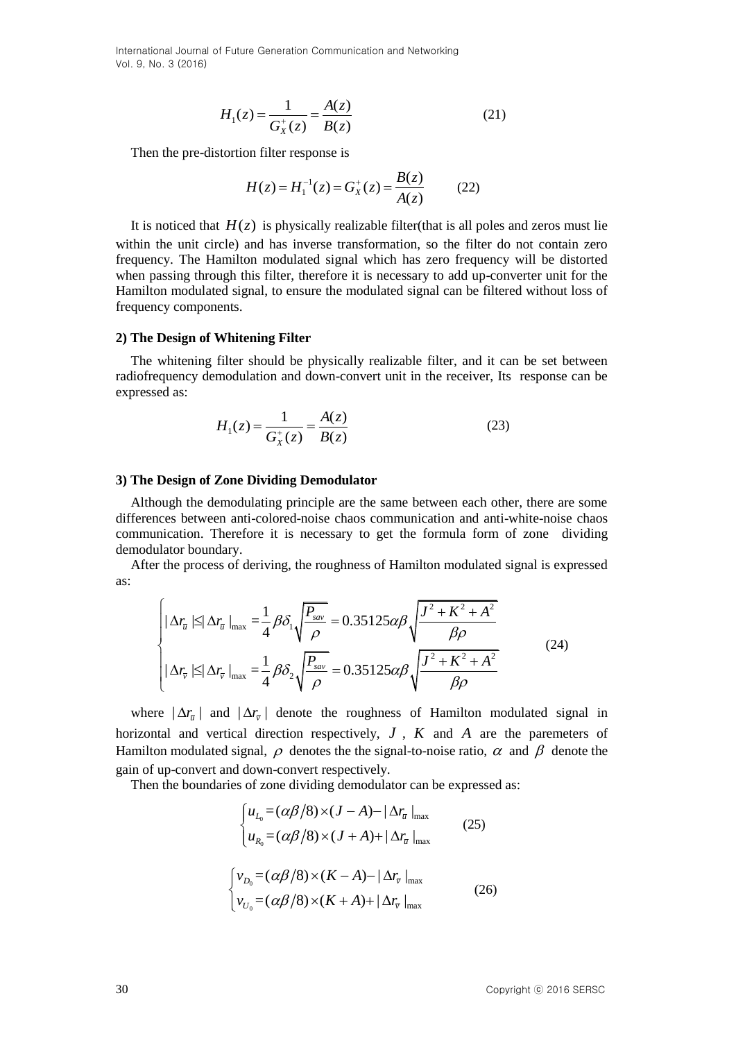$$
H_1(z) = \frac{1}{G_X^+(z)} = \frac{A(z)}{B(z)}
$$
(21)

Then the pre-distortion filter response is

$$
H(z) = H_1^{-1}(z) = G_X^+(z) = \frac{B(z)}{A(z)}
$$
(22)

It is noticed that  $H(z)$  is physically realizable filter(that is all poles and zeros must lie within the unit circle) and has inverse transformation, so the filter do not contain zero frequency. The Hamilton modulated signal which has zero frequency will be distorted when passing through this filter, therefore it is necessary to add up-converter unit for the Hamilton modulated signal, to ensure the modulated signal can be filtered without loss of frequency components.

#### **2) The Design of Whitening Filter**

The whitening filter should be physically realizable filter, and it can be set between radiofrequency demodulation and down-convert unit in the receiver, Its response can be expressed as:

$$
H_1(z) = \frac{1}{G_X^+(z)} = \frac{A(z)}{B(z)}
$$
(23)

#### **3) The Design of Zone Dividing Demodulator**

Although the demodulating principle are the same between each other, there are some differences between anti-colored-noise chaos communication and anti-white-noise chaos communication. Therefore it is necessary to get the formula form of zone dividing demodulator boundary.

After the process of deriving, the roughness of Hamilton modulated signal is expressed as:

$$
\left\| \Delta r_{\overline{u}} \right\| \leq |\Delta r_{\overline{u}}|_{\max} = \frac{1}{4} \beta \delta_1 \sqrt{\frac{P_{\text{sur}}}{\rho}} = 0.35125 \alpha \beta \sqrt{\frac{J^2 + K^2 + A^2}{\beta \rho}}
$$
\n
$$
\left\| \Delta r_{\overline{v}} \right\| \leq |\Delta r_{\overline{v}}|_{\max} = \frac{1}{4} \beta \delta_2 \sqrt{\frac{P_{\text{sur}}}{\rho}} = 0.35125 \alpha \beta \sqrt{\frac{J^2 + K^2 + A^2}{\beta \rho}}
$$
\n(24)

where  $|\Delta r_{\overline{\nu}}|$  and  $|\Delta r_{\overline{\nu}}|$  denote the roughness of Hamilton modulated signal in horizontal and vertical direction respectively,  $J$ ,  $K$  and  $A$  are the paremeters of Hamilton modulated signal,  $\rho$  denotes the the signal-to-noise ratio,  $\alpha$  and  $\beta$  denote the gain of up-convert and down-convert respectively.

Then the boundaries of zone dividing demodulator can be expressed as:  
\n
$$
\begin{cases}\nu_{L_0} = (\alpha \beta / 8) \times (J - A) - |\Delta r_{\overline{u}}|_{\text{max}} \\
u_{R_0} = (\alpha \beta / 8) \times (J + A) + |\Delta r_{\overline{u}}|_{\text{max}}\n\end{cases}
$$
\n(25)  
\n
$$
\begin{cases}\nv_{D_0} = (\alpha \beta / 8) \times (K - A) - |\Delta r_{\overline{v}}|_{\text{max}} \\
v_{U_0} = (\alpha \beta / 8) \times (K + A) + |\Delta r_{\overline{v}}|_{\text{max}}\n\end{cases}
$$
\n(26)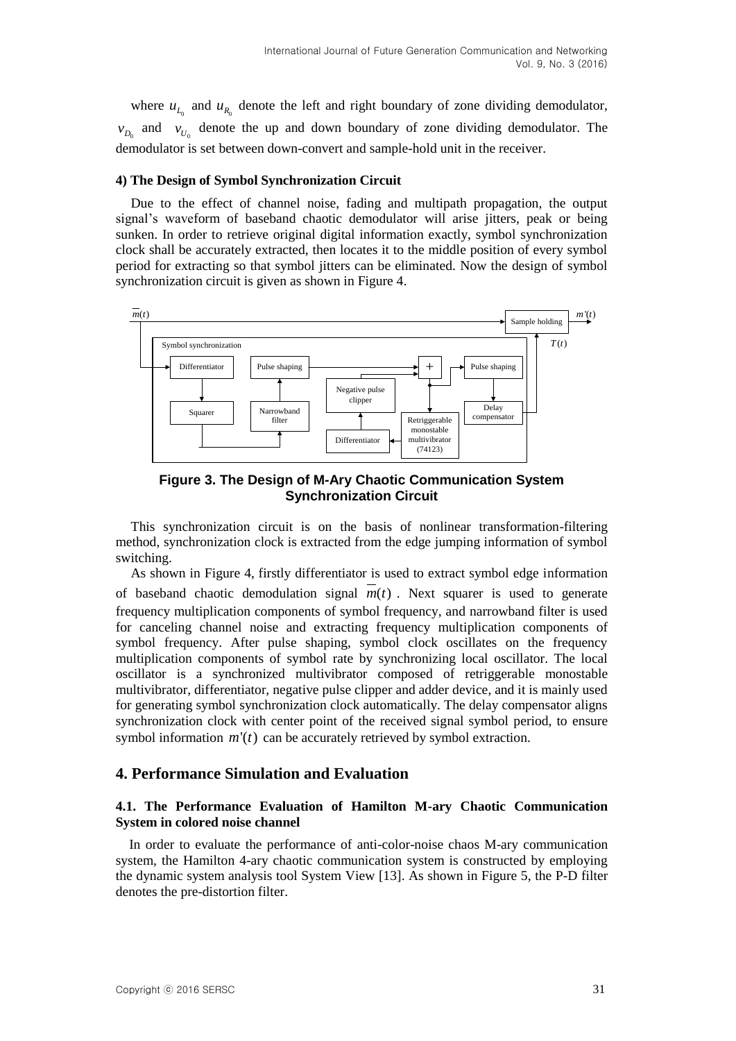where  $u_{L_0}$  and  $u_{R_0}$  denote the left and right boundary of zone dividing demodulator,  $v_{D_0}$  and  $v_{U_0}$  denote the up and down boundary of zone dividing demodulator. The demodulator is set between down-convert and sample-hold unit in the receiver.

#### **4) The Design of Symbol Synchronization Circuit**

Due to the effect of channel noise, fading and multipath propagation, the output signal's waveform of baseband chaotic demodulator will arise jitters, peak or being sunken. In order to retrieve original digital information exactly, symbol synchronization clock shall be accurately extracted, then locates it to the middle position of every symbol period for extracting so that symbol jitters can be eliminated. Now the design of symbol synchronization circuit is given as shown in Figure 4.



**Figure 3. The Design of M-Ary Chaotic Communication System Synchronization Circuit**

This synchronization circuit is on the basis of nonlinear transformation-filtering method, synchronization clock is extracted from the edge jumping information of symbol switching.

As shown in Figure 4, firstly differentiator is used to extract symbol edge information of baseband chaotic demodulation signal  $m(t)$ . Next squarer is used to generate frequency multiplication components of symbol frequency, and narrowband filter is used for canceling channel noise and extracting frequency multiplication components of symbol frequency. After pulse shaping, symbol clock oscillates on the frequency multiplication components of symbol rate by synchronizing local oscillator. The local oscillator is a synchronized multivibrator composed of retriggerable monostable multivibrator, differentiator, negative pulse clipper and adder device, and it is mainly used for generating symbol synchronization clock automatically. The delay compensator aligns synchronization clock with center point of the received signal symbol period, to ensure symbol information  $m'(t)$  can be accurately retrieved by symbol extraction.

# **4. Performance Simulation and Evaluation**

## **4.1. The Performance Evaluation of Hamilton M-ary Chaotic Communication System in colored noise channel**

In order to evaluate the performance of anti-color-noise chaos M-ary communication system, the Hamilton 4-ary chaotic communication system is constructed by employing the dynamic system analysis tool System View [13]. As shown in Figure 5, the P-D filter denotes the pre-distortion filter.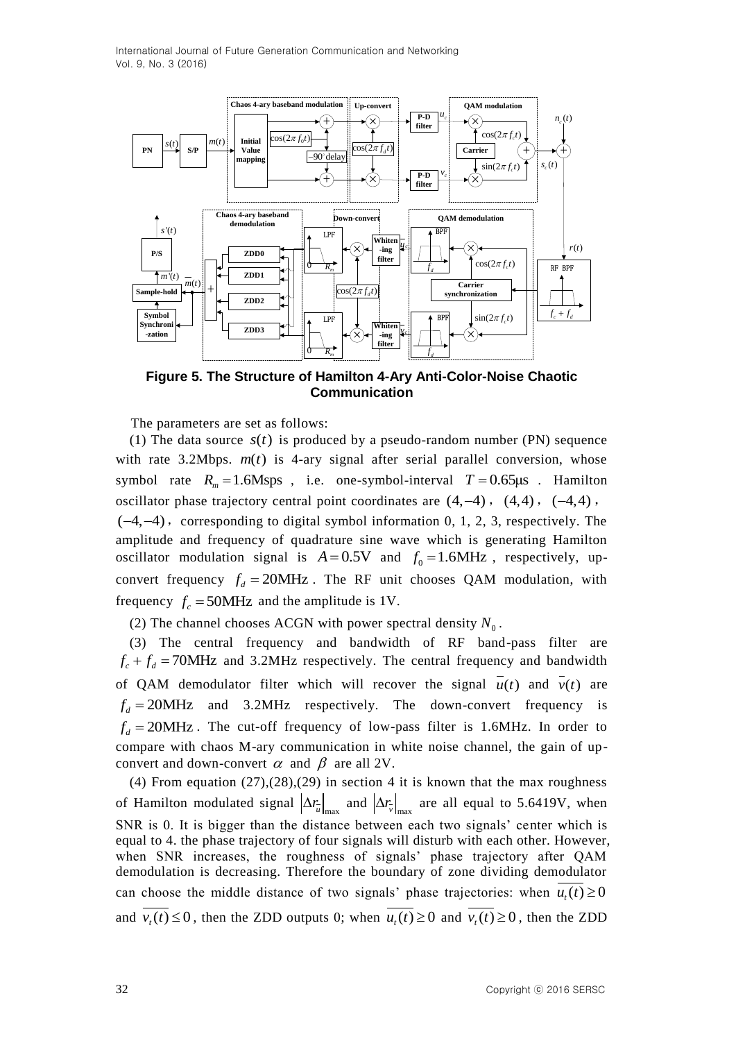

**Figure 5. The Structure of Hamilton 4-Ary Anti-Color-Noise Chaotic Communication**

The parameters are set as follows:

(1) The data source  $s(t)$  is produced by a pseudo-random number (PN) sequence with rate  $3.2Mbps.$   $m(t)$  is 4-ary signal after serial parallel conversion, whose symbol rate  $R_m = 1.6$ Msps, i.e. one-symbol-interval  $T = 0.65 \mu s$ . Hamilton oscillator phase trajectory central point coordinates are  $(4,-4)$ ,  $(4,4)$ ,  $(-4,4)$ ,  $(-4, -4)$ , corresponding to digital symbol information 0, 1, 2, 3, respectively. The amplitude and frequency of quadrature sine wave which is generating Hamilton oscillator modulation signal is  $A = 0.5V$  and  $f_0 = 1.6MHz$ , respectively, upconvert frequency  $f_d = 20$ MHz. The RF unit chooses QAM modulation, with frequency  $f_c = 50$ MHz and the amplitude is 1V.

(2) The channel chooses ACGN with power spectral density  $N_0$ .

(3) The central frequency and bandwidth of RF band-pass filter are  $f_c + f_d = 70$ MHz and 3.2MHz respectively. The central frequency and bandwidth of QAM demodulator filter which will recover the signal  $u(t)$  and  $v(t)$  are  $f_d = 20$ MHz and 3.2MHz respectively. The down-convert frequency is  $f_d$  = 20MHz. The cut-off frequency of low-pass filter is 1.6MHz. In order to compare with chaos M-ary communication in white noise channel, the gain of upconvert and down-convert  $\alpha$  and  $\beta$  are all 2V.

(4) From equation  $(27)$ , $(28)$ , $(29)$  in section 4 it is known that the max roughness of Hamilton modulated signal  $\left|\Delta r_{\nu}\right|_{\rm max}$  and  $\left|\Delta r_{\nu}\right|_{\rm max}$  are all equal to 5.6419V, when SNR is 0. It is bigger than the distance between each two signals' center which is equal to 4. the phase trajectory of four signals will disturb with each other. However, when SNR increases, the roughness of signals' phase trajectory after QAM demodulation is decreasing. Therefore the boundary of zone dividing demodulator can choose the middle distance of two signals' phase trajectories: when  $u_t(t) \ge 0$ and  $v_t(t) \le 0$ , then the ZDD outputs 0; when  $u_t(t) \ge 0$  and  $v_t(t) \ge 0$ , then the ZDD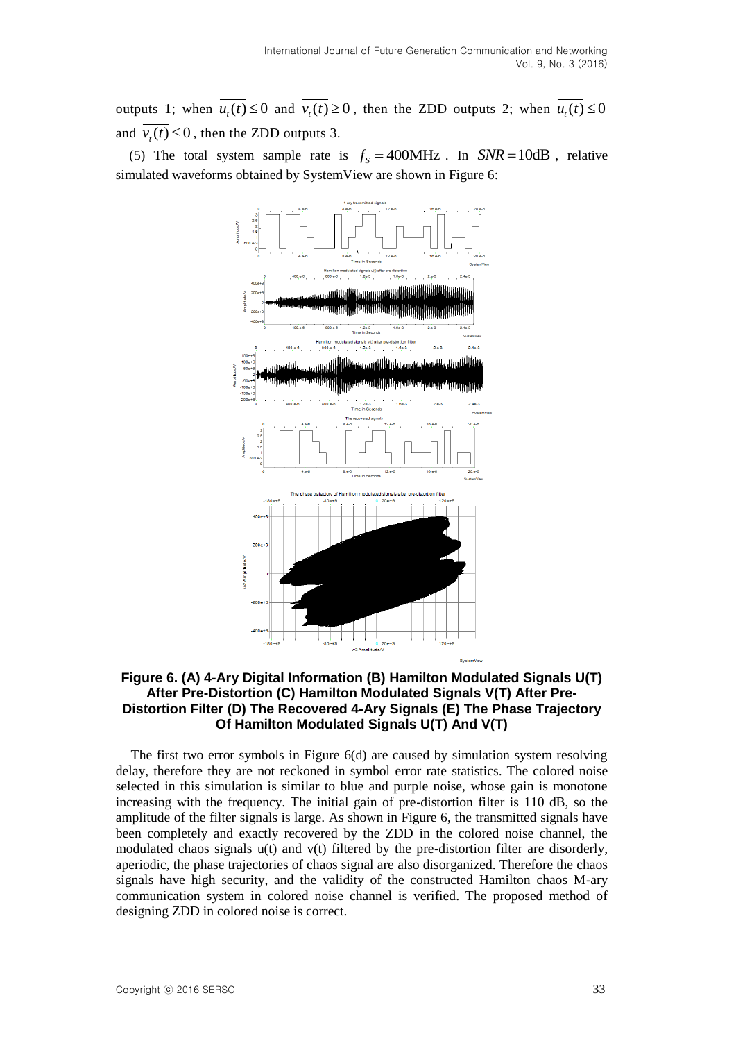outputs 1; when  $u_t(t) \le 0$  and  $v_t(t) \ge 0$ , then the ZDD outputs 2; when  $u_t(t) \le 0$ and  $v_t(t) \le 0$ , then the ZDD outputs 3.

(5) The total system sample rate is  $f_s = 400 \text{MHz}$ . In  $SNR = 10 \text{dB}$ , relative simulated waveforms obtained by SystemView are shown in Figure 6:



## **Figure 6. (A) 4-Ary Digital Information (B) Hamilton Modulated Signals U(T) After Pre-Distortion (C) Hamilton Modulated Signals V(T) After Pre-Distortion Filter (D) The Recovered 4-Ary Signals (E) The Phase Trajectory Of Hamilton Modulated Signals U(T) And V(T)**

The first two error symbols in Figure 6(d) are caused by simulation system resolving delay, therefore they are not reckoned in symbol error rate statistics. The colored noise selected in this simulation is similar to blue and purple noise, whose gain is monotone increasing with the frequency. The initial gain of pre-distortion filter is 110 dB, so the amplitude of the filter signals is large. As shown in Figure 6, the transmitted signals have been completely and exactly recovered by the ZDD in the colored noise channel, the modulated chaos signals u(t) and v(t) filtered by the pre-distortion filter are disorderly, aperiodic, the phase trajectories of chaos signal are also disorganized. Therefore the chaos signals have high security, and the validity of the constructed Hamilton chaos M-ary communication system in colored noise channel is verified. The proposed method of designing ZDD in colored noise is correct.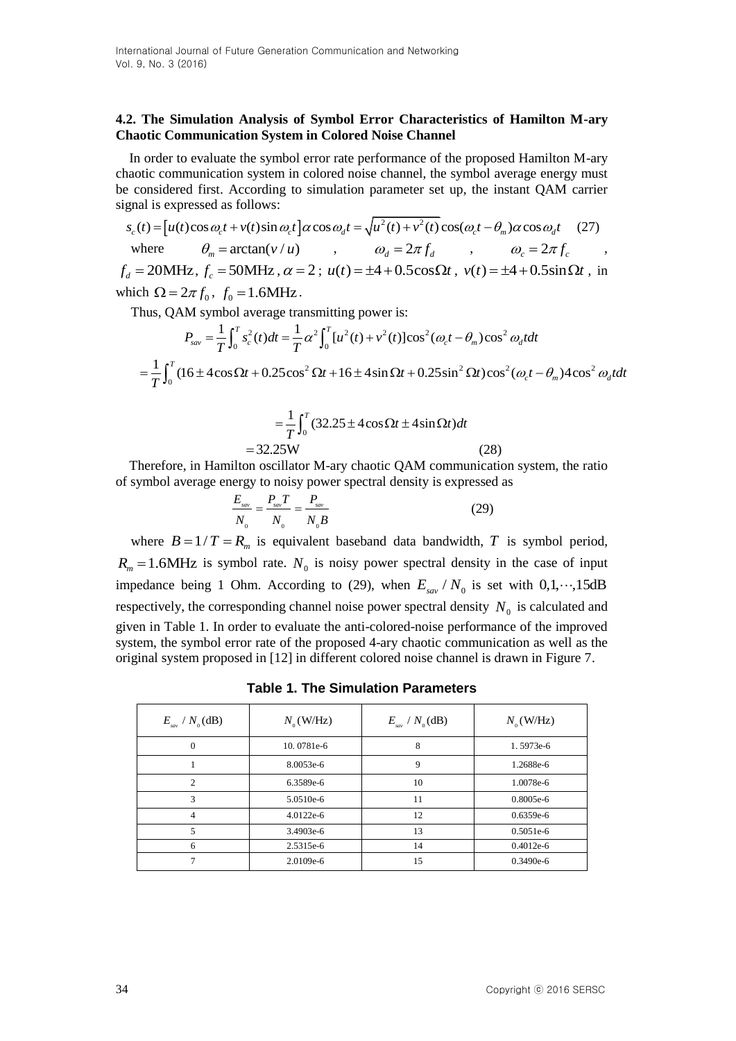### **4.2. The Simulation Analysis of Symbol Error Characteristics of Hamilton M-ary Chaotic Communication System in Colored Noise Channel**

In order to evaluate the symbol error rate performance of the proposed Hamilton M-ary chaotic communication system in colored noise channel, the symbol average energy must be considered first. According to simulation parameter set up, the instant QAM carrier signal is expressed as follows: 2 2 ( ) ( )cos ( )sin cos ( ) ( ) cos( ) cos *c c c d c m d s t u t t v t t t u t v t t t* (27)

 $\left| u(t) \cos \omega_c t + v(t) \sin \omega_c t \right|$ where  $\theta_m = \arctan(v/u)$ ,  $\omega_d = 2\pi f_d$ ,  $\omega_c = 2\pi f_c$ ,  $f_d = 20 \text{MHz}$ ,  $f_c = 50 \text{MHz}$ ,  $\alpha = 2$ ;  $u(t) = \pm 4 + 0.5 \cos \Omega t$ ,  $v(t) = \pm 4 + 0.5 \sin \Omega t$ , in which  $\Omega = 2\pi f_0$ ,  $f_0 = 1.6$ MHz.

which 
$$
\Omega = 2\pi f_0
$$
,  $f_0 = 1.6$  MHz.

\nThus, QAM symbol average transmitting power is:

\n
$$
P_{\text{av}} = \frac{1}{T} \int_0^T s_c^2(t) \, dt = \frac{1}{T} \alpha^2 \int_0^T [u^2(t) + v^2(t)] \cos^2(\omega_c t - \theta_m) \cos^2 \omega_d t \, dt
$$
\n
$$
= \frac{1}{T} \int_0^T (16 \pm 4 \cos \Omega t + 0.25 \cos^2 \Omega t + 16 \pm 4 \sin \Omega t + 0.25 \sin^2 \Omega t) \cos^2(\omega_c t - \theta_m) 4 \cos^2 \omega_d t \, dt
$$

$$
= \frac{1}{T} \int_0^T (32.25 \pm 4 \cos \Omega t \pm 4 \sin \Omega t) dt
$$
  
= 32.25W (28)

Therefore, in Hamilton oscillator M-ary chaotic QAM communication system, the ratio of symbol average energy to noisy power spectral density is expressed as

$$
\frac{E_{\text{sav}}}{N_0} = \frac{P_{\text{sav}}T}{N_0} = \frac{P_{\text{sav}}}{N_0B}
$$
 (29)

where  $B = 1/T = R_m$  is equivalent baseband data bandwidth, T is symbol period,  $R_m = 1.6$ MHz is symbol rate.  $N_0$  is noisy power spectral density in the case of input impedance being 1 Ohm. According to (29), when  $E_{\text{grav}}/N_0$  is set with  $0, 1, \dots, 15$ dB respectively, the corresponding channel noise power spectral density  $N_0$  is calculated and given in Table 1. In order to evaluate the anti-colored-noise performance of the improved system, the symbol error rate of the proposed 4-ary chaotic communication as well as the original system proposed in [12] in different colored noise channel is drawn in Figure 7.

**Table 1. The Simulation Parameters**

| / $N_{0}$ (dB)<br>$E_{_{\mathrm sw}}$ | $N_{0}$ (W/Hz) | $E_{\rm sw}$ / $N_{\rm o}$ (dB) | $N_{0}$ (W/Hz) |
|---------------------------------------|----------------|---------------------------------|----------------|
| $\Omega$                              | 10.0781e-6     | 8                               | 1.5973e-6      |
|                                       | 8.0053e-6      | 9                               | 1.2688e-6      |
| $\mathfrak{D}$                        | 6.3589e-6      | 10                              | 1.0078e-6      |
| 3                                     | $5.0510e-6$    | 11                              | $0.8005e-6$    |
| 4                                     | $4.0122e-6$    | 12                              | $0.6359e-6$    |
| 5                                     | 3.4903e-6      | 13                              | $0.5051e-6$    |
| 6                                     | 2.5315e-6      | 14                              | $0.4012e-6$    |
|                                       | 2.0109e-6      | 15                              | $0.3490e-6$    |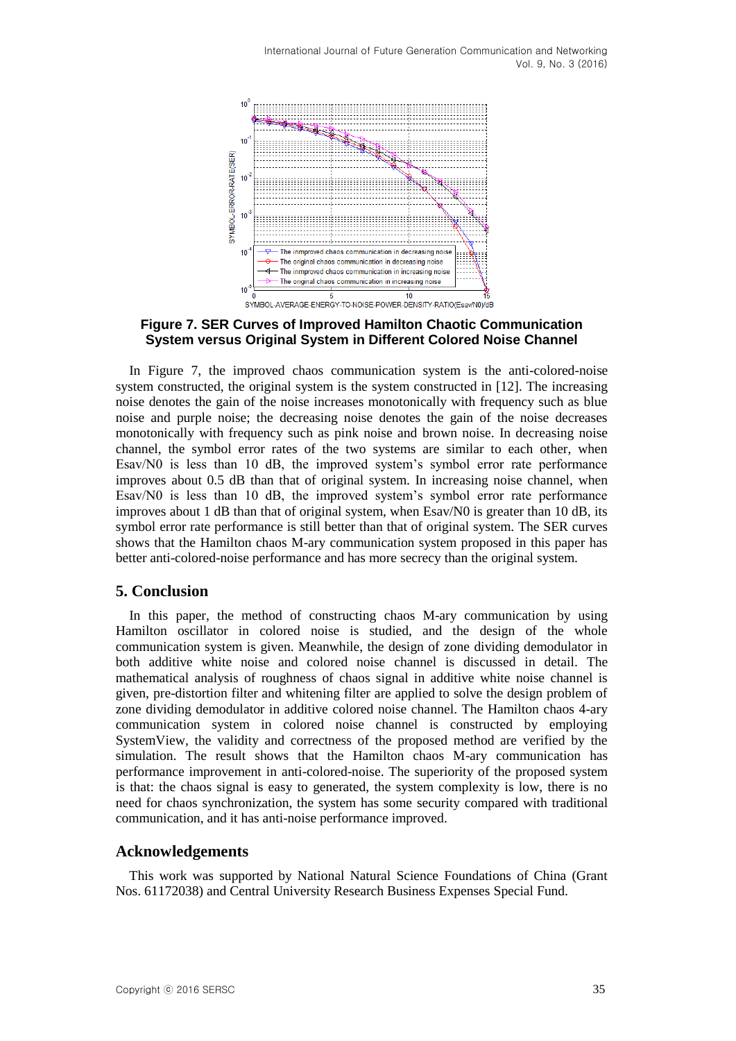

**Figure 7. SER Curves of Improved Hamilton Chaotic Communication System versus Original System in Different Colored Noise Channel**

In Figure 7, the improved chaos communication system is the anti-colored-noise system constructed, the original system is the system constructed in [12]. The increasing noise denotes the gain of the noise increases monotonically with frequency such as blue noise and purple noise; the decreasing noise denotes the gain of the noise decreases monotonically with frequency such as pink noise and brown noise. In decreasing noise channel, the symbol error rates of the two systems are similar to each other, when Esav/N0 is less than 10 dB, the improved system's symbol error rate performance improves about 0.5 dB than that of original system. In increasing noise channel, when Esav/N0 is less than 10 dB, the improved system's symbol error rate performance improves about 1 dB than that of original system, when Esav/N0 is greater than 10 dB, its symbol error rate performance is still better than that of original system. The SER curves shows that the Hamilton chaos M-ary communication system proposed in this paper has better anti-colored-noise performance and has more secrecy than the original system.

# **5. Conclusion**

In this paper, the method of constructing chaos M-ary communication by using Hamilton oscillator in colored noise is studied, and the design of the whole communication system is given. Meanwhile, the design of zone dividing demodulator in both additive white noise and colored noise channel is discussed in detail. The mathematical analysis of roughness of chaos signal in additive white noise channel is given, pre-distortion filter and whitening filter are applied to solve the design problem of zone dividing demodulator in additive colored noise channel. The Hamilton chaos 4-ary communication system in colored noise channel is constructed by employing SystemView, the validity and correctness of the proposed method are verified by the simulation. The result shows that the Hamilton chaos M-ary communication has performance improvement in anti-colored-noise. The superiority of the proposed system is that: the chaos signal is easy to generated, the system complexity is low, there is no need for chaos synchronization, the system has some security compared with traditional communication, and it has anti-noise performance improved.

### **Acknowledgements**

This work was supported by National Natural Science Foundations of China (Grant Nos. 61172038) and Central University Research Business Expenses Special Fund.